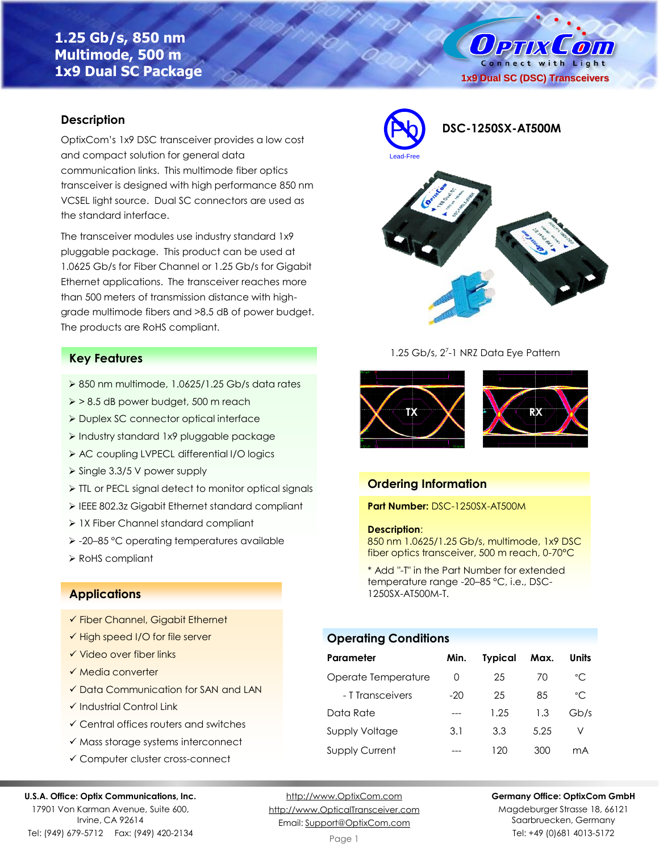# **1.25 Gb/s, 850 nm Multimode, 500 m 1x9 Dual SC Package**

O PTIX  $\mathcal{L}$  on Connect with Light **1x9 Dual SC (DSC) Transceivers**

### **Description**

OptixCom's 1x9 DSC transceiver provides a low cost and compact solution for general data communication links. This multimode fiber optics transceiver is designed with high performance 850 nm VCSEL light source. Dual SC connectors are used as the standard interface.

The transceiver modules use industry standard 1x9 pluggable package. This product can be used at 1.0625 Gb/s for Fiber Channel or 1.25 Gb/s for Gigabit Ethernet applications. The transceiver reaches more than 500 meters of transmission distance with highgrade multimode fibers and >8.5 dB of power budget. The products are RoHS compliant.

### **Key Features**

- $\geq 850$  nm multimode, 1.0625/1.25 Gb/s data rates
- ➢ > 8.5 dB power budget, 500 m reach
- ➢ Duplex SC connector optical interface
- ➢ Industry standard 1x9 pluggable package
- ➢ AC coupling LVPECL differential I/O logics
- ➢ Single 3.3/5 V power supply
- ➢ TTL or PECL signal detect to monitor optical signals
- ➢ IEEE 802.3z Gigabit Ethernet standard compliant
- ➢ 1X Fiber Channel standard compliant
- ➢ -20–85 °C operating temperatures available
- ➢ RoHS compliant

### **Applications**

- ✓ Fiber Channel, Gigabit Ethernet
- ✓ High speed I/O for file server
- ✓ Video over fiber links
- ✓ Media converter
- ✓ Data Communication for SAN and LAN
- ✓ Industrial Control Link
- ✓ Central offices routers and switches
- ✓ Mass storage systems interconnect
- ✓ Computer cluster cross-connect

#### **U.S.A. Office: Optix Communications, Inc.**

17901 Von Karman Avenue, Suite 600, Irvine, CA 92614 Tel: (949) 679-5712 Fax: (949) 420-2134

[http://www.OptixCom.com](http://www.optixcom.com/) [http://www.OpticalTransceiver.com](http://www.optoictech.com/) Email: [Support@OptixCom.com](mailto:Support@optoICtech.com)



1.25 Gb/s, 2<sup>7</sup>-1 NRZ Data Eye Pattern



### **Ordering Information**

**Part Number:** DSC-1250SX-AT500M

#### **Description**:

850 nm 1.0625/1.25 Gb/s, multimode, 1x9 DSC fiber optics transceiver, 500 m reach, 0-70°C

\* Add "-T" in the Part Number for extended temperature range -20–85 °C, i.e., DSC-1250SX-AT500M-T.

## **Operating Conditions**

| Parameter             | Min.             | <b>Typical</b> | Max. | Units        |
|-----------------------|------------------|----------------|------|--------------|
| Operate Temperature   | $\left( \right)$ | 25             | 70   | $^{\circ}$ C |
| - T Transceivers      | $-20$            | 25             | 85   | $^{\circ}$ C |
| Data Rate             |                  | 1.25           | 1.3  | Gb/s         |
| Supply Voltage        | 3.1              | 3.3            | 5.25 | V            |
| <b>Supply Current</b> |                  | 120            | 300  | mA           |

**Germany Office: OptixCom GmbH**

Magdeburger Strasse 18, 66121 Saarbruecken, Germany Tel: +49 (0)681 4013-5172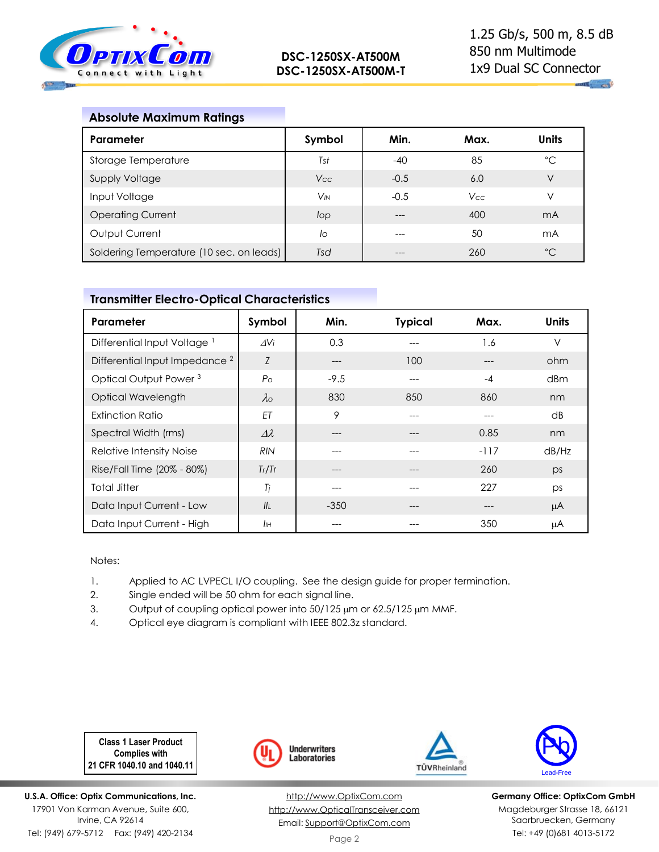

 $\mathbf{u}_1$  and

## **Absolute Maximum Ratings**

| Parameter                                | Symbol                | Min.   | Max.       | <b>Units</b>   |
|------------------------------------------|-----------------------|--------|------------|----------------|
| Storage Temperature                      | Tst                   | -40    | 85         | °C             |
| Supply Voltage                           | Vcc                   | $-0.5$ | 6.0        | $\vee$         |
| Input Voltage                            | <b>V<sub>IN</sub></b> | $-0.5$ | <b>Vcc</b> | V              |
| <b>Operating Current</b>                 | lop                   |        | 400        | m <sub>A</sub> |
| Output Current                           | lo                    |        | 50         | mA             |
| Soldering Temperature (10 sec. on leads) | Tsd                   |        | 260        | $^{\circ}$ C   |

# **Transmitter Electro-Optical Characteristics**

| Parameter                                 | Symbol             | Min.   | <b>Typical</b> | Max.   | <b>Units</b> |
|-------------------------------------------|--------------------|--------|----------------|--------|--------------|
| Differential Input Voltage                | $\Delta V$ i       | 0.3    |                | 1.6    | $\vee$       |
| Differential Input Impedance <sup>2</sup> | Z                  | ---    | 100            |        | ohm          |
| Optical Output Power <sup>3</sup>         | $P_{\rm O}$        | $-9.5$ | ---            | $-4$   | dBm          |
| Optical Wavelength                        | $\lambda$          | 830    | 850            | 860    | nm           |
| <b>Extinction Ratio</b>                   | ET                 | 9      |                |        | dB           |
| Spectral Width (rms)                      | $\varDelta\lambda$ |        |                | 0.85   | nm           |
| <b>Relative Intensity Noise</b>           | <b>RIN</b>         |        |                | $-117$ | dB/Hz        |
| Rise/Fall Time (20% - 80%)                | Tr/Tr              | ---    |                | 260    | ps           |
| <b>Total Jitter</b>                       | Tj                 | ---    |                | 227    | ps           |
| Data Input Current - Low                  | II <sub>I</sub>    | $-350$ |                | ---    | μA           |
| Data Input Current - High                 | $I\!I\!H$          |        |                | 350    | μA           |

Notes:

- 1. Applied to AC LVPECL I/O coupling. See the design guide for proper termination.
- 2. Single ended will be 50 ohm for each signal line.
- 3. Output of coupling optical power into 50/125 µm or 62.5/125 µm MMF.
- 4. Optical eye diagram is compliant with IEEE 802.3z standard.

**Class 1 Laser Product Complies with 21 CFR 1040.10 and 1040.11**

**U.S.A. Office: Optix Communications, Inc.** 17901 Von Karman Avenue, Suite 600, Irvine, CA 92614 Tel: (949) 679-5712 Fax: (949) 420-2134



[http://www.OptixCom.com](http://www.optixcom.com/) [http://www.OpticalTransceiver.com](http://www.optoictech.com/) Email: [Support@OptixCom.com](mailto:Support@optoICtech.com)





**Germany Office: OptixCom GmbH** Magdeburger Strasse 18, 66121 Saarbruecken, Germany Tel: +49 (0)681 4013-5172